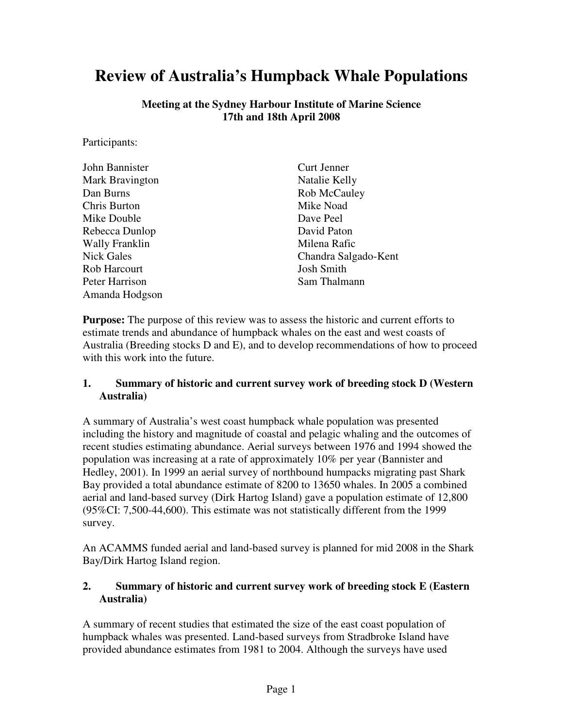# **Review of Australia's Humpback Whale Populations**

**Meeting at the Sydney Harbour Institute of Marine Science 17th and 18th April 2008** 

Participants:

| John Bannister    | <b>Curt Jenner</b>   |
|-------------------|----------------------|
| Mark Bravington   | Natalie Kelly        |
| Dan Burns         | Rob McCauley         |
| Chris Burton      | Mike Noad            |
| Mike Double       | Dave Peel            |
| Rebecca Dunlop    | David Paton          |
| Wally Franklin    | Milena Rafic         |
| <b>Nick Gales</b> | Chandra Salgado-Kent |
| Rob Harcourt      | <b>Josh Smith</b>    |
| Peter Harrison    | Sam Thalmann         |
| Amanda Hodgson    |                      |

**Purpose:** The purpose of this review was to assess the historic and current efforts to estimate trends and abundance of humpback whales on the east and west coasts of Australia (Breeding stocks D and E), and to develop recommendations of how to proceed with this work into the future.

#### **1. Summary of historic and current survey work of breeding stock D (Western Australia)**

A summary of Australia's west coast humpback whale population was presented including the history and magnitude of coastal and pelagic whaling and the outcomes of recent studies estimating abundance. Aerial surveys between 1976 and 1994 showed the population was increasing at a rate of approximately 10% per year (Bannister and Hedley, 2001). In 1999 an aerial survey of northbound humpacks migrating past Shark Bay provided a total abundance estimate of 8200 to 13650 whales. In 2005 a combined aerial and land-based survey (Dirk Hartog Island) gave a population estimate of 12,800 (95%CI: 7,500-44,600). This estimate was not statistically different from the 1999 survey.

An ACAMMS funded aerial and land-based survey is planned for mid 2008 in the Shark Bay/Dirk Hartog Island region.

#### **2. Summary of historic and current survey work of breeding stock E (Eastern Australia)**

A summary of recent studies that estimated the size of the east coast population of humpback whales was presented. Land-based surveys from Stradbroke Island have provided abundance estimates from 1981 to 2004. Although the surveys have used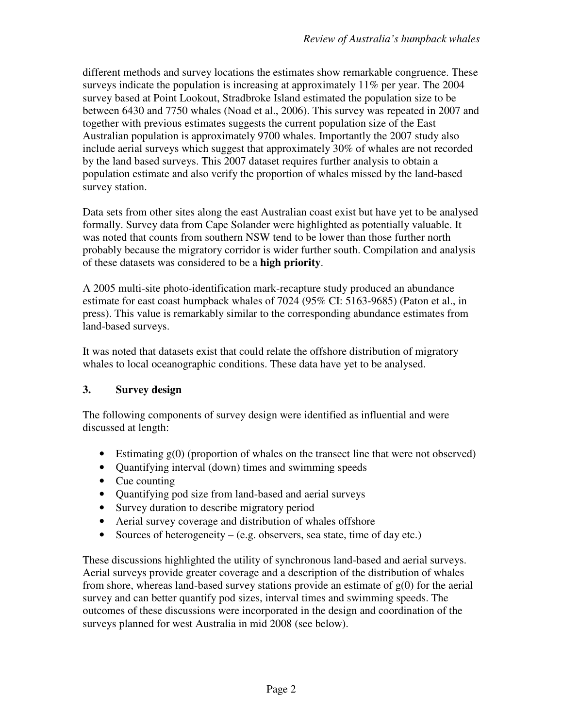different methods and survey locations the estimates show remarkable congruence. These surveys indicate the population is increasing at approximately 11% per year. The 2004 survey based at Point Lookout, Stradbroke Island estimated the population size to be between 6430 and 7750 whales (Noad et al., 2006). This survey was repeated in 2007 and together with previous estimates suggests the current population size of the East Australian population is approximately 9700 whales. Importantly the 2007 study also include aerial surveys which suggest that approximately 30% of whales are not recorded by the land based surveys. This 2007 dataset requires further analysis to obtain a population estimate and also verify the proportion of whales missed by the land-based survey station.

Data sets from other sites along the east Australian coast exist but have yet to be analysed formally. Survey data from Cape Solander were highlighted as potentially valuable. It was noted that counts from southern NSW tend to be lower than those further north probably because the migratory corridor is wider further south. Compilation and analysis of these datasets was considered to be a **high priority**.

A 2005 multi-site photo-identification mark-recapture study produced an abundance estimate for east coast humpback whales of 7024 (95% CI: 5163-9685) (Paton et al., in press). This value is remarkably similar to the corresponding abundance estimates from land-based surveys.

It was noted that datasets exist that could relate the offshore distribution of migratory whales to local oceanographic conditions. These data have yet to be analysed.

### **3. Survey design**

The following components of survey design were identified as influential and were discussed at length:

- Estimating  $g(0)$  (proportion of whales on the transect line that were not observed)
- Quantifying interval (down) times and swimming speeds
- Cue counting
- Quantifying pod size from land-based and aerial surveys
- Survey duration to describe migratory period
- Aerial survey coverage and distribution of whales offshore
- Sources of heterogeneity  $-$  (e.g. observers, sea state, time of day etc.)

These discussions highlighted the utility of synchronous land-based and aerial surveys. Aerial surveys provide greater coverage and a description of the distribution of whales from shore, whereas land-based survey stations provide an estimate of  $g(0)$  for the aerial survey and can better quantify pod sizes, interval times and swimming speeds. The outcomes of these discussions were incorporated in the design and coordination of the surveys planned for west Australia in mid 2008 (see below).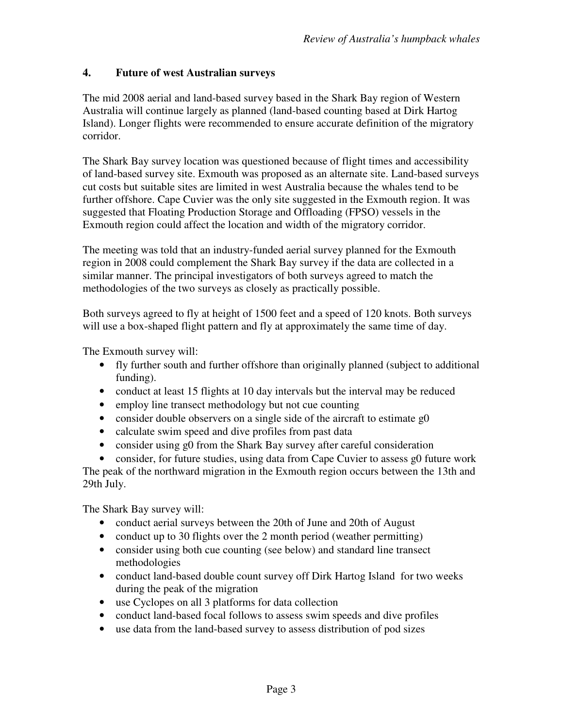#### **4. Future of west Australian surveys**

The mid 2008 aerial and land-based survey based in the Shark Bay region of Western Australia will continue largely as planned (land-based counting based at Dirk Hartog Island). Longer flights were recommended to ensure accurate definition of the migratory corridor.

The Shark Bay survey location was questioned because of flight times and accessibility of land-based survey site. Exmouth was proposed as an alternate site. Land-based surveys cut costs but suitable sites are limited in west Australia because the whales tend to be further offshore. Cape Cuvier was the only site suggested in the Exmouth region. It was suggested that Floating Production Storage and Offloading (FPSO) vessels in the Exmouth region could affect the location and width of the migratory corridor.

The meeting was told that an industry-funded aerial survey planned for the Exmouth region in 2008 could complement the Shark Bay survey if the data are collected in a similar manner. The principal investigators of both surveys agreed to match the methodologies of the two surveys as closely as practically possible.

Both surveys agreed to fly at height of 1500 feet and a speed of 120 knots. Both surveys will use a box-shaped flight pattern and fly at approximately the same time of day.

The Exmouth survey will:

- fly further south and further offshore than originally planned (subject to additional funding).
- conduct at least 15 flights at 10 day intervals but the interval may be reduced
- employ line transect methodology but not cue counting
- consider double observers on a single side of the aircraft to estimate g0
- calculate swim speed and dive profiles from past data
- consider using g0 from the Shark Bay survey after careful consideration

• consider, for future studies, using data from Cape Cuvier to assess g0 future work The peak of the northward migration in the Exmouth region occurs between the 13th and 29th July.

The Shark Bay survey will:

- conduct aerial surveys between the 20th of June and 20th of August
- conduct up to 30 flights over the 2 month period (weather permitting)
- consider using both cue counting (see below) and standard line transect methodologies
- conduct land-based double count survey off Dirk Hartog Island for two weeks during the peak of the migration
- use Cyclopes on all 3 platforms for data collection
- conduct land-based focal follows to assess swim speeds and dive profiles
- use data from the land-based survey to assess distribution of pod sizes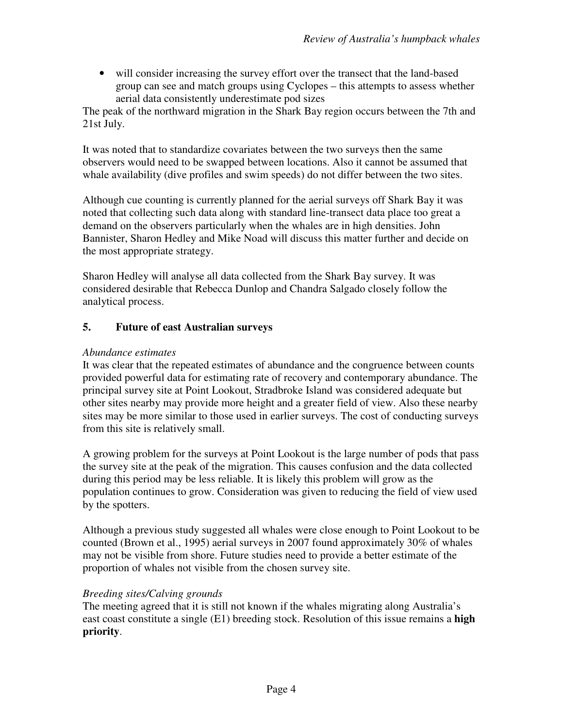• will consider increasing the survey effort over the transect that the land-based group can see and match groups using Cyclopes – this attempts to assess whether aerial data consistently underestimate pod sizes

The peak of the northward migration in the Shark Bay region occurs between the 7th and 21st July.

It was noted that to standardize covariates between the two surveys then the same observers would need to be swapped between locations. Also it cannot be assumed that whale availability (dive profiles and swim speeds) do not differ between the two sites.

Although cue counting is currently planned for the aerial surveys off Shark Bay it was noted that collecting such data along with standard line-transect data place too great a demand on the observers particularly when the whales are in high densities. John Bannister, Sharon Hedley and Mike Noad will discuss this matter further and decide on the most appropriate strategy.

Sharon Hedley will analyse all data collected from the Shark Bay survey. It was considered desirable that Rebecca Dunlop and Chandra Salgado closely follow the analytical process.

#### **5. Future of east Australian surveys**

#### *Abundance estimates*

It was clear that the repeated estimates of abundance and the congruence between counts provided powerful data for estimating rate of recovery and contemporary abundance. The principal survey site at Point Lookout, Stradbroke Island was considered adequate but other sites nearby may provide more height and a greater field of view. Also these nearby sites may be more similar to those used in earlier surveys. The cost of conducting surveys from this site is relatively small.

A growing problem for the surveys at Point Lookout is the large number of pods that pass the survey site at the peak of the migration. This causes confusion and the data collected during this period may be less reliable. It is likely this problem will grow as the population continues to grow. Consideration was given to reducing the field of view used by the spotters.

Although a previous study suggested all whales were close enough to Point Lookout to be counted (Brown et al., 1995) aerial surveys in 2007 found approximately 30% of whales may not be visible from shore. Future studies need to provide a better estimate of the proportion of whales not visible from the chosen survey site.

#### *Breeding sites/Calving grounds*

The meeting agreed that it is still not known if the whales migrating along Australia's east coast constitute a single (E1) breeding stock. Resolution of this issue remains a **high priority**.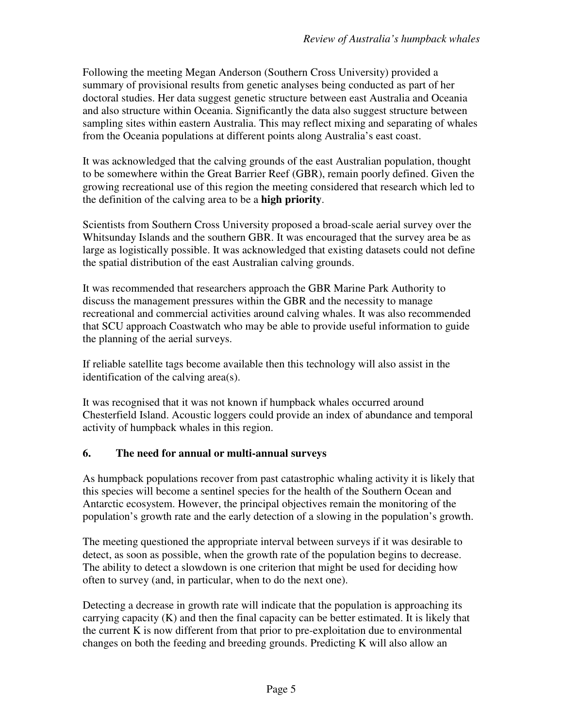Following the meeting Megan Anderson (Southern Cross University) provided a summary of provisional results from genetic analyses being conducted as part of her doctoral studies. Her data suggest genetic structure between east Australia and Oceania and also structure within Oceania. Significantly the data also suggest structure between sampling sites within eastern Australia. This may reflect mixing and separating of whales from the Oceania populations at different points along Australia's east coast.

It was acknowledged that the calving grounds of the east Australian population, thought to be somewhere within the Great Barrier Reef (GBR), remain poorly defined. Given the growing recreational use of this region the meeting considered that research which led to the definition of the calving area to be a **high priority**.

Scientists from Southern Cross University proposed a broad-scale aerial survey over the Whitsunday Islands and the southern GBR. It was encouraged that the survey area be as large as logistically possible. It was acknowledged that existing datasets could not define the spatial distribution of the east Australian calving grounds.

It was recommended that researchers approach the GBR Marine Park Authority to discuss the management pressures within the GBR and the necessity to manage recreational and commercial activities around calving whales. It was also recommended that SCU approach Coastwatch who may be able to provide useful information to guide the planning of the aerial surveys.

If reliable satellite tags become available then this technology will also assist in the identification of the calving area(s).

It was recognised that it was not known if humpback whales occurred around Chesterfield Island. Acoustic loggers could provide an index of abundance and temporal activity of humpback whales in this region.

#### **6. The need for annual or multi-annual surveys**

As humpback populations recover from past catastrophic whaling activity it is likely that this species will become a sentinel species for the health of the Southern Ocean and Antarctic ecosystem. However, the principal objectives remain the monitoring of the population's growth rate and the early detection of a slowing in the population's growth.

The meeting questioned the appropriate interval between surveys if it was desirable to detect, as soon as possible, when the growth rate of the population begins to decrease. The ability to detect a slowdown is one criterion that might be used for deciding how often to survey (and, in particular, when to do the next one).

Detecting a decrease in growth rate will indicate that the population is approaching its carrying capacity  $(K)$  and then the final capacity can be better estimated. It is likely that the current K is now different from that prior to pre-exploitation due to environmental changes on both the feeding and breeding grounds. Predicting K will also allow an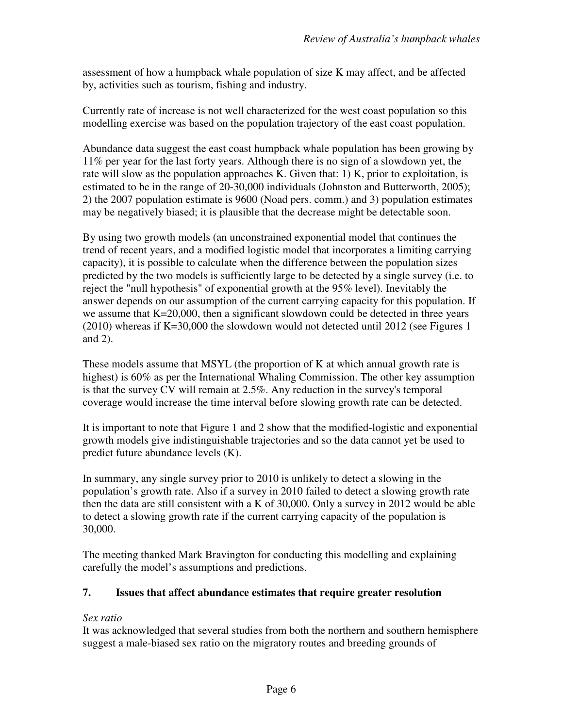assessment of how a humpback whale population of size K may affect, and be affected by, activities such as tourism, fishing and industry.

Currently rate of increase is not well characterized for the west coast population so this modelling exercise was based on the population trajectory of the east coast population.

Abundance data suggest the east coast humpback whale population has been growing by 11% per year for the last forty years. Although there is no sign of a slowdown yet, the rate will slow as the population approaches K. Given that: 1) K, prior to exploitation, is estimated to be in the range of 20-30,000 individuals (Johnston and Butterworth, 2005); 2) the 2007 population estimate is 9600 (Noad pers. comm.) and 3) population estimates may be negatively biased; it is plausible that the decrease might be detectable soon.

By using two growth models (an unconstrained exponential model that continues the trend of recent years, and a modified logistic model that incorporates a limiting carrying capacity), it is possible to calculate when the difference between the population sizes predicted by the two models is sufficiently large to be detected by a single survey (i.e. to reject the "null hypothesis" of exponential growth at the 95% level). Inevitably the answer depends on our assumption of the current carrying capacity for this population. If we assume that K=20,000, then a significant slowdown could be detected in three years (2010) whereas if K=30,000 the slowdown would not detected until 2012 (see Figures 1 and 2).

These models assume that MSYL (the proportion of K at which annual growth rate is highest) is 60% as per the International Whaling Commission. The other key assumption is that the survey CV will remain at 2.5%. Any reduction in the survey's temporal coverage would increase the time interval before slowing growth rate can be detected.

It is important to note that Figure 1 and 2 show that the modified-logistic and exponential growth models give indistinguishable trajectories and so the data cannot yet be used to predict future abundance levels (K).

In summary, any single survey prior to 2010 is unlikely to detect a slowing in the population's growth rate. Also if a survey in 2010 failed to detect a slowing growth rate then the data are still consistent with a K of 30,000. Only a survey in 2012 would be able to detect a slowing growth rate if the current carrying capacity of the population is 30,000.

The meeting thanked Mark Bravington for conducting this modelling and explaining carefully the model's assumptions and predictions.

#### **7. Issues that affect abundance estimates that require greater resolution**

#### *Sex ratio*

It was acknowledged that several studies from both the northern and southern hemisphere suggest a male-biased sex ratio on the migratory routes and breeding grounds of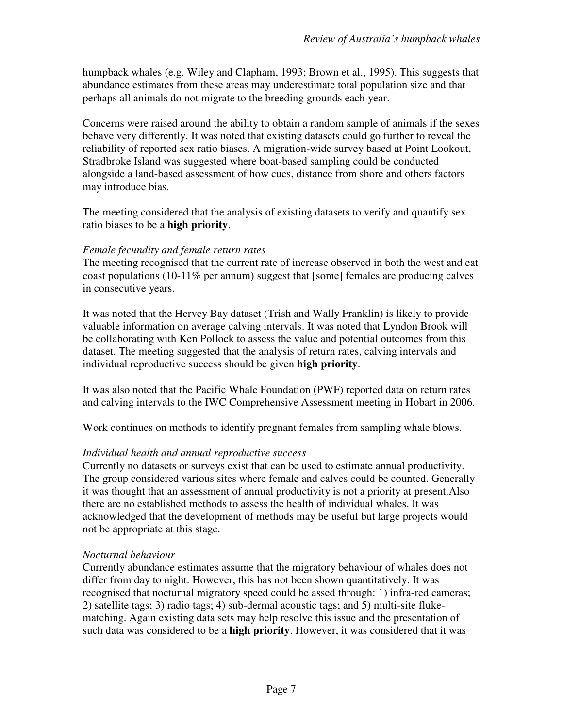humpback whales (e.g. Wiley and Clapham, 1993; Brown et al., 1995). This suggests that abundance estimates from these areas may underestimate total population size and that perhaps all animals do not migrate to the breeding grounds each year.

Concerns were raised around the ability to obtain a random sample of animals if the sexes behave very differently. It was noted that existing datasets could go further to reveal the reliability of reported sex ratio biases. A migration-wide survey based at Point Lookout, Stradbroke Island was suggested where boat-based sampling could be conducted alongside a land-based assessment of how cues, distance from shore and others factors may introduce bias.

The meeting considered that the analysis of existing datasets to verify and quantify sex ratio biases to be a **high priority**.

#### *Female fecundity and female return rates*

The meeting recognised that the current rate of increase observed in both the west and eat coast populations (10-11% per annum) suggest that [some] females are producing calves in consecutive years.

It was noted that the Hervey Bay dataset (Trish and Wally Franklin) is likely to provide valuable information on average calving intervals. It was noted that Lyndon Brook will be collaborating with Ken Pollock to assess the value and potential outcomes from this dataset. The meeting suggested that the analysis of return rates, calving intervals and individual reproductive success should be given **high priority**.

It was also noted that the Pacific Whale Foundation (PWF) reported data on return rates and calving intervals to the IWC Comprehensive Assessment meeting in Hobart in 2006.

Work continues on methods to identify pregnant females from sampling whale blows.

#### *Individual health and annual reproductive success*

Currently no datasets or surveys exist that can be used to estimate annual productivity. The group considered various sites where female and calves could be counted. Generally it was thought that an assessment of annual productivity is not a priority at present.Also there are no established methods to assess the health of individual whales. It was acknowledged that the development of methods may be useful but large projects would not be appropriate at this stage.

#### *Nocturnal behaviour*

Currently abundance estimates assume that the migratory behaviour of whales does not differ from day to night. However, this has not been shown quantitatively. It was recognised that nocturnal migratory speed could be assed through: 1) infra-red cameras; 2) satellite tags; 3) radio tags; 4) sub-dermal acoustic tags; and 5) multi-site flukematching. Again existing data sets may help resolve this issue and the presentation of such data was considered to be a **high priority**. However, it was considered that it was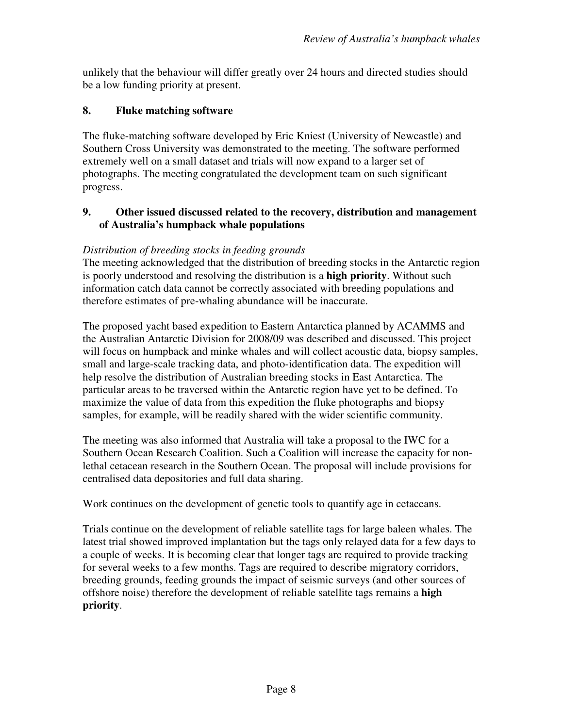unlikely that the behaviour will differ greatly over 24 hours and directed studies should be a low funding priority at present.

#### **8. Fluke matching software**

The fluke-matching software developed by Eric Kniest (University of Newcastle) and Southern Cross University was demonstrated to the meeting. The software performed extremely well on a small dataset and trials will now expand to a larger set of photographs. The meeting congratulated the development team on such significant progress.

#### **9. Other issued discussed related to the recovery, distribution and management of Australia's humpback whale populations**

#### *Distribution of breeding stocks in feeding grounds*

The meeting acknowledged that the distribution of breeding stocks in the Antarctic region is poorly understood and resolving the distribution is a **high priority**. Without such information catch data cannot be correctly associated with breeding populations and therefore estimates of pre-whaling abundance will be inaccurate.

The proposed yacht based expedition to Eastern Antarctica planned by ACAMMS and the Australian Antarctic Division for 2008/09 was described and discussed. This project will focus on humpback and minke whales and will collect acoustic data, biopsy samples, small and large-scale tracking data, and photo-identification data. The expedition will help resolve the distribution of Australian breeding stocks in East Antarctica. The particular areas to be traversed within the Antarctic region have yet to be defined. To maximize the value of data from this expedition the fluke photographs and biopsy samples, for example, will be readily shared with the wider scientific community.

The meeting was also informed that Australia will take a proposal to the IWC for a Southern Ocean Research Coalition. Such a Coalition will increase the capacity for nonlethal cetacean research in the Southern Ocean. The proposal will include provisions for centralised data depositories and full data sharing.

Work continues on the development of genetic tools to quantify age in cetaceans.

Trials continue on the development of reliable satellite tags for large baleen whales. The latest trial showed improved implantation but the tags only relayed data for a few days to a couple of weeks. It is becoming clear that longer tags are required to provide tracking for several weeks to a few months. Tags are required to describe migratory corridors, breeding grounds, feeding grounds the impact of seismic surveys (and other sources of offshore noise) therefore the development of reliable satellite tags remains a **high priority**.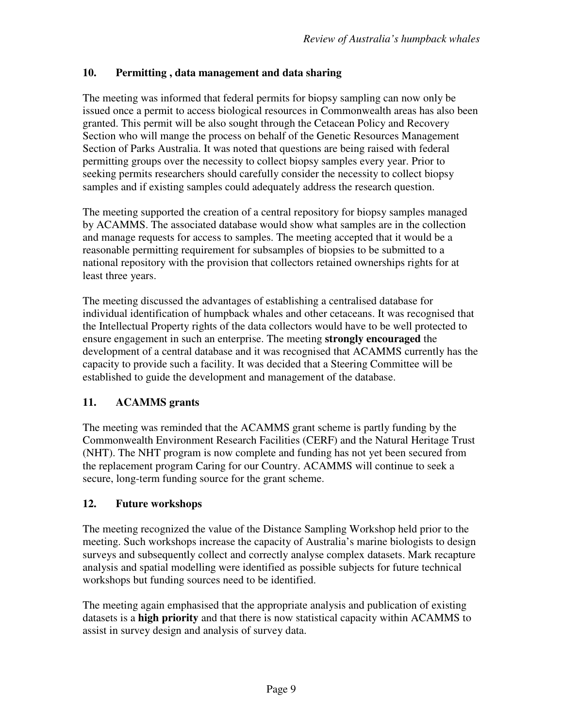#### **10. Permitting , data management and data sharing**

The meeting was informed that federal permits for biopsy sampling can now only be issued once a permit to access biological resources in Commonwealth areas has also been granted. This permit will be also sought through the Cetacean Policy and Recovery Section who will mange the process on behalf of the Genetic Resources Management Section of Parks Australia. It was noted that questions are being raised with federal permitting groups over the necessity to collect biopsy samples every year. Prior to seeking permits researchers should carefully consider the necessity to collect biopsy samples and if existing samples could adequately address the research question.

The meeting supported the creation of a central repository for biopsy samples managed by ACAMMS. The associated database would show what samples are in the collection and manage requests for access to samples. The meeting accepted that it would be a reasonable permitting requirement for subsamples of biopsies to be submitted to a national repository with the provision that collectors retained ownerships rights for at least three years.

The meeting discussed the advantages of establishing a centralised database for individual identification of humpback whales and other cetaceans. It was recognised that the Intellectual Property rights of the data collectors would have to be well protected to ensure engagement in such an enterprise. The meeting **strongly encouraged** the development of a central database and it was recognised that ACAMMS currently has the capacity to provide such a facility. It was decided that a Steering Committee will be established to guide the development and management of the database.

### **11. ACAMMS grants**

The meeting was reminded that the ACAMMS grant scheme is partly funding by the Commonwealth Environment Research Facilities (CERF) and the Natural Heritage Trust (NHT). The NHT program is now complete and funding has not yet been secured from the replacement program Caring for our Country. ACAMMS will continue to seek a secure, long-term funding source for the grant scheme.

#### **12. Future workshops**

The meeting recognized the value of the Distance Sampling Workshop held prior to the meeting. Such workshops increase the capacity of Australia's marine biologists to design surveys and subsequently collect and correctly analyse complex datasets. Mark recapture analysis and spatial modelling were identified as possible subjects for future technical workshops but funding sources need to be identified.

The meeting again emphasised that the appropriate analysis and publication of existing datasets is a **high priority** and that there is now statistical capacity within ACAMMS to assist in survey design and analysis of survey data.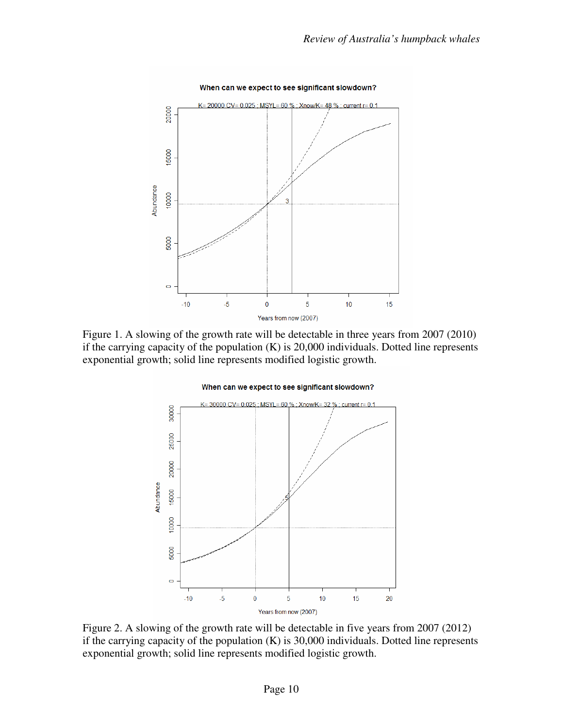

Figure 1. A slowing of the growth rate will be detectable in three years from 2007 (2010) if the carrying capacity of the population (K) is 20,000 individuals. Dotted line represents exponential growth; solid line represents modified logistic growth.



Figure 2. A slowing of the growth rate will be detectable in five years from 2007 (2012) if the carrying capacity of the population (K) is 30,000 individuals. Dotted line represents exponential growth; solid line represents modified logistic growth.

## When can we expect to see significant slowdown?